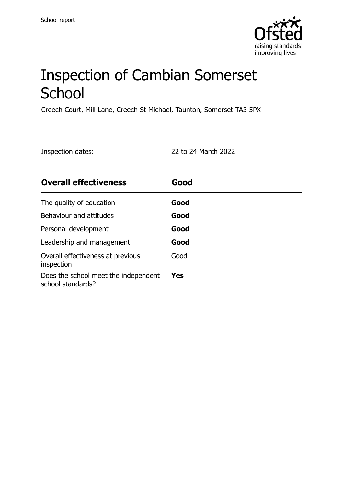

# Inspection of Cambian Somerset **School**

Creech Court, Mill Lane, Creech St Michael, Taunton, Somerset TA3 5PX

| Inspection dates: | 22 to 24 March 2022 |
|-------------------|---------------------|
|                   |                     |

| <b>Overall effectiveness</b>                              | Good |
|-----------------------------------------------------------|------|
| The quality of education                                  | Good |
| Behaviour and attitudes                                   | Good |
| Personal development                                      | Good |
| Leadership and management                                 | Good |
| Overall effectiveness at previous<br>inspection           | Good |
| Does the school meet the independent<br>school standards? | Yes  |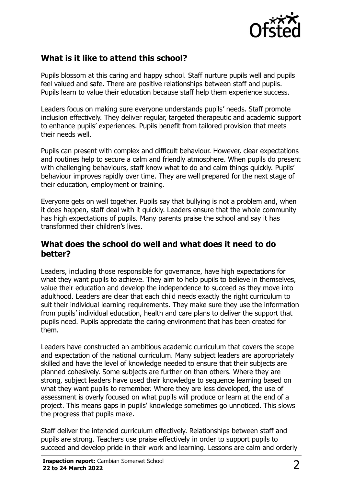

# **What is it like to attend this school?**

Pupils blossom at this caring and happy school. Staff nurture pupils well and pupils feel valued and safe. There are positive relationships between staff and pupils. Pupils learn to value their education because staff help them experience success.

Leaders focus on making sure everyone understands pupils' needs. Staff promote inclusion effectively. They deliver regular, targeted therapeutic and academic support to enhance pupils' experiences. Pupils benefit from tailored provision that meets their needs well.

Pupils can present with complex and difficult behaviour. However, clear expectations and routines help to secure a calm and friendly atmosphere. When pupils do present with challenging behaviours, staff know what to do and calm things quickly. Pupils' behaviour improves rapidly over time. They are well prepared for the next stage of their education, employment or training.

Everyone gets on well together. Pupils say that bullying is not a problem and, when it does happen, staff deal with it quickly. Leaders ensure that the whole community has high expectations of pupils. Many parents praise the school and say it has transformed their children's lives.

#### **What does the school do well and what does it need to do better?**

Leaders, including those responsible for governance, have high expectations for what they want pupils to achieve. They aim to help pupils to believe in themselves, value their education and develop the independence to succeed as they move into adulthood. Leaders are clear that each child needs exactly the right curriculum to suit their individual learning requirements. They make sure they use the information from pupils' individual education, health and care plans to deliver the support that pupils need. Pupils appreciate the caring environment that has been created for them.

Leaders have constructed an ambitious academic curriculum that covers the scope and expectation of the national curriculum. Many subject leaders are appropriately skilled and have the level of knowledge needed to ensure that their subjects are planned cohesively. Some subjects are further on than others. Where they are strong, subject leaders have used their knowledge to sequence learning based on what they want pupils to remember. Where they are less developed, the use of assessment is overly focused on what pupils will produce or learn at the end of a project. This means gaps in pupils' knowledge sometimes go unnoticed. This slows the progress that pupils make.

Staff deliver the intended curriculum effectively. Relationships between staff and pupils are strong. Teachers use praise effectively in order to support pupils to succeed and develop pride in their work and learning. Lessons are calm and orderly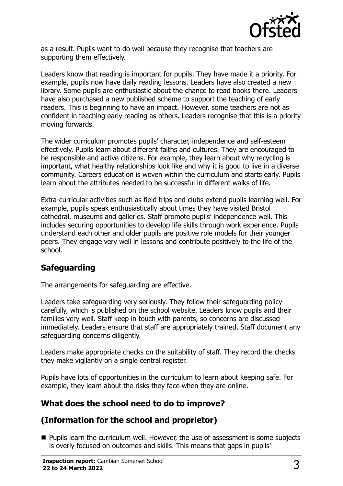

as a result. Pupils want to do well because they recognise that teachers are supporting them effectively.

Leaders know that reading is important for pupils. They have made it a priority. For example, pupils now have daily reading lessons. Leaders have also created a new library. Some pupils are enthusiastic about the chance to read books there. Leaders have also purchased a new published scheme to support the teaching of early readers. This is beginning to have an impact. However, some teachers are not as confident in teaching early reading as others. Leaders recognise that this is a priority moving forwards.

The wider curriculum promotes pupils' character, independence and self-esteem effectively. Pupils learn about different faiths and cultures. They are encouraged to be responsible and active citizens. For example, they learn about why recycling is important, what healthy relationships look like and why it is good to live in a diverse community. Careers education is woven within the curriculum and starts early. Pupils learn about the attributes needed to be successful in different walks of life.

Extra-curricular activities such as field trips and clubs extend pupils learning well. For example, pupils speak enthusiastically about times they have visited Bristol cathedral, museums and galleries. Staff promote pupils' independence well. This includes securing opportunities to develop life skills through work experience. Pupils understand each other and older pupils are positive role models for their younger peers. They engage very well in lessons and contribute positively to the life of the school.

# **Safeguarding**

The arrangements for safeguarding are effective.

Leaders take safeguarding very seriously. They follow their safeguarding policy carefully, which is published on the school website. Leaders know pupils and their families very well. Staff keep in touch with parents, so concerns are discussed immediately. Leaders ensure that staff are appropriately trained. Staff document any safeguarding concerns diligently.

Leaders make appropriate checks on the suitability of staff. They record the checks they make vigilantly on a single central register.

Pupils have lots of opportunities in the curriculum to learn about keeping safe. For example, they learn about the risks they face when they are online.

# **What does the school need to do to improve?**

# **(Information for the school and proprietor)**

■ Pupils learn the curriculum well. However, the use of assessment is some subjects is overly focused on outcomes and skills. This means that gaps in pupils'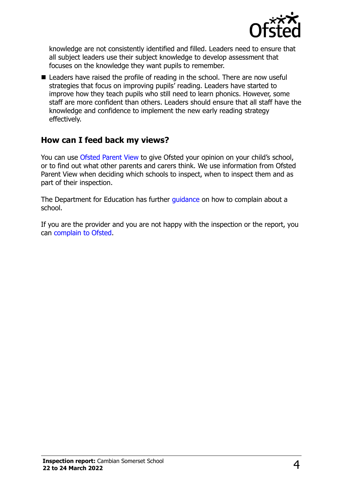

knowledge are not consistently identified and filled. Leaders need to ensure that all subject leaders use their subject knowledge to develop assessment that focuses on the knowledge they want pupils to remember.

■ Leaders have raised the profile of reading in the school. There are now useful strategies that focus on improving pupils' reading. Leaders have started to improve how they teach pupils who still need to learn phonics. However, some staff are more confident than others. Leaders should ensure that all staff have the knowledge and confidence to implement the new early reading strategy effectively.

### **How can I feed back my views?**

You can use [Ofsted Parent View](http://parentview.ofsted.gov.uk/) to give Ofsted your opinion on your child's school, or to find out what other parents and carers think. We use information from Ofsted Parent View when deciding which schools to inspect, when to inspect them and as part of their inspection.

The Department for Education has further quidance on how to complain about a school.

If you are the provider and you are not happy with the inspection or the report, you can [complain to Ofsted.](http://www.gov.uk/complain-ofsted-report)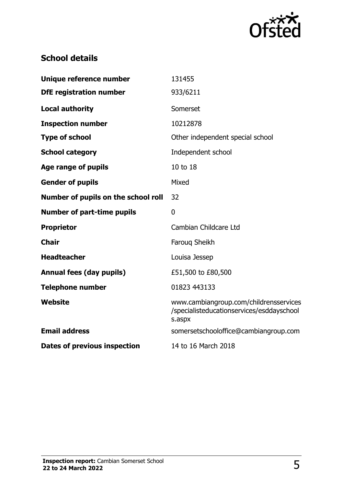

# **School details**

| Unique reference number             | 131455                                                                                        |
|-------------------------------------|-----------------------------------------------------------------------------------------------|
| <b>DfE registration number</b>      | 933/6211                                                                                      |
| <b>Local authority</b>              | Somerset                                                                                      |
| <b>Inspection number</b>            | 10212878                                                                                      |
| <b>Type of school</b>               | Other independent special school                                                              |
| <b>School category</b>              | Independent school                                                                            |
| Age range of pupils                 | 10 to 18                                                                                      |
| <b>Gender of pupils</b>             | Mixed                                                                                         |
| Number of pupils on the school roll | 32                                                                                            |
| <b>Number of part-time pupils</b>   | $\mathbf{0}$                                                                                  |
| <b>Proprietor</b>                   | Cambian Childcare Ltd                                                                         |
| <b>Chair</b>                        | Faroug Sheikh                                                                                 |
| <b>Headteacher</b>                  | Louisa Jessep                                                                                 |
| <b>Annual fees (day pupils)</b>     | £51,500 to £80,500                                                                            |
| <b>Telephone number</b>             | 01823 443133                                                                                  |
| Website                             | www.cambiangroup.com/childrensservices<br>/specialisteducationservices/esddayschool<br>s.aspx |
| <b>Email address</b>                | somersetschooloffice@cambiangroup.com                                                         |
| Dates of previous inspection        | 14 to 16 March 2018                                                                           |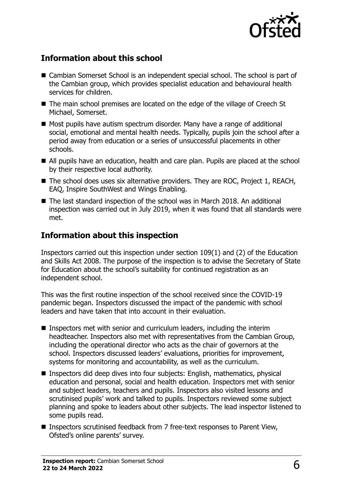

# **Information about this school**

- Cambian Somerset School is an independent special school. The school is part of the Cambian group, which provides specialist education and behavioural health services for children.
- The main school premises are located on the edge of the village of Creech St Michael, Somerset.
- Most pupils have autism spectrum disorder. Many have a range of additional social, emotional and mental health needs. Typically, pupils join the school after a period away from education or a series of unsuccessful placements in other schools.
- All pupils have an education, health and care plan. Pupils are placed at the school by their respective local authority.
- The school does uses six alternative providers. They are ROC, Project 1, REACH, EAQ, Inspire SouthWest and Wings Enabling.
- The last standard inspection of the school was in March 2018. An additional inspection was carried out in July 2019, when it was found that all standards were met.

#### **Information about this inspection**

Inspectors carried out this inspection under section 109(1) and (2) of the Education and Skills Act 2008. The purpose of the inspection is to advise the Secretary of State for Education about the school's suitability for continued registration as an independent school.

This was the first routine inspection of the school received since the COVID-19 pandemic began. Inspectors discussed the impact of the pandemic with school leaders and have taken that into account in their evaluation.

- Inspectors met with senior and curriculum leaders, including the interim headteacher. Inspectors also met with representatives from the Cambian Group, including the operational director who acts as the chair of governors at the school. Inspectors discussed leaders' evaluations, priorities for improvement, systems for monitoring and accountability, as well as the curriculum.
- Inspectors did deep dives into four subjects: English, mathematics, physical education and personal, social and health education. Inspectors met with senior and subject leaders, teachers and pupils. Inspectors also visited lessons and scrutinised pupils' work and talked to pupils. Inspectors reviewed some subject planning and spoke to leaders about other subjects. The lead inspector listened to some pupils read.
- Inspectors scrutinised feedback from 7 free-text responses to Parent View, Ofsted's online parents' survey.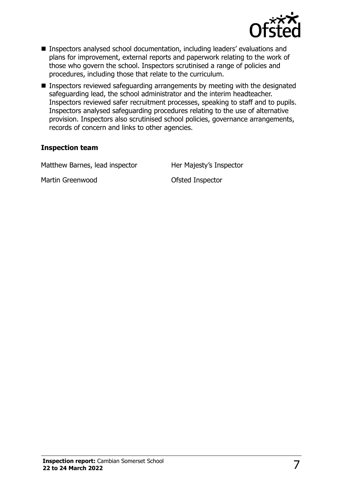

- Inspectors analysed school documentation, including leaders' evaluations and plans for improvement, external reports and paperwork relating to the work of those who govern the school. Inspectors scrutinised a range of policies and procedures, including those that relate to the curriculum.
- Inspectors reviewed safeguarding arrangements by meeting with the designated safeguarding lead, the school administrator and the interim headteacher. Inspectors reviewed safer recruitment processes, speaking to staff and to pupils. Inspectors analysed safeguarding procedures relating to the use of alternative provision. Inspectors also scrutinised school policies, governance arrangements, records of concern and links to other agencies.

#### **Inspection team**

Matthew Barnes, lead inspector Her Majesty's Inspector Martin Greenwood and Controller Controller Controller Controller Ofsted Inspector